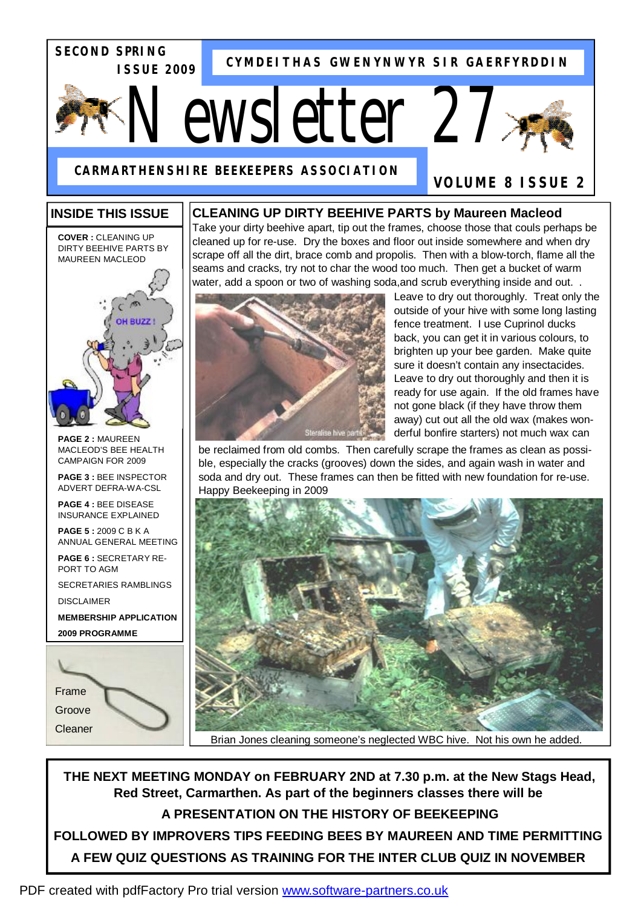**SECOND SPRING ISSUE 2009** 

**CYMDEITHAS GWENYNWYR SIR GAERFYRDDIN**

# *Newsletter 27*



**VOLUME 8 ISSUE 2** 

**CARMARTHENSHIRE BEEKEEPERS ASSOCIATION**

# **INSIDE THIS ISSUE**

#### **CLEANING UP DIRTY BEEHIVE PARTS by Maureen Macleod**

Take your dirty beehive apart, tip out the frames, choose those that couls perhaps be cleaned up for re-use. Dry the boxes and floor out inside somewhere and when dry scrape off all the dirt, brace comb and propolis. Then with a blow-torch, flame all the seams and cracks, try not to char the wood too much. Then get a bucket of warm water, add a spoon or two of washing soda, and scrub everything inside and out...



**COVER :** CLEANING UP DIRTY BEEHIVE PARTS BY MAUREEN MACLEOD

**PAGE 2 :** MAUREEN MACLEOD'S BEE HEALTH CAMPAIGN FOR 2009

**PAGE 3 :** BEE INSPECTOR ADVERT DEFRA-WA-CSL

**PAGE 4 :** BEE DISEASE INSURANCE EXPLAINED

**PAGE 5 :** 2009 C B K A ANNUAL GENERAL MEETING

**PAGE 6 :** SECRETARY RE-PORT TO AGM

SECRETARIES RAMBLINGS

DISCLAIMER

**MEMBERSHIP APPLICATION 2009 PROGRAMME** 





Leave to dry out thoroughly. Treat only the outside of your hive with some long lasting fence treatment. I use Cuprinol ducks back, you can get it in various colours, to brighten up your bee garden. Make quite sure it doesn't contain any insectacides. Leave to dry out thoroughly and then it is ready for use again. If the old frames have not gone black (if they have throw them away) cut out all the old wax (makes wonderful bonfire starters) not much wax can

be reclaimed from old combs. Then carefully scrape the frames as clean as possible, especially the cracks (grooves) down the sides, and again wash in water and soda and dry out. These frames can then be fitted with new foundation for re-use. Happy Beekeeping in 2009



Brian Jones cleaning someone's neglected WBC hive. Not his own he added.

**THE NEXT MEETING MONDAY on FEBRUARY 2ND at 7.30 p.m. at the New Stags Head, Red Street, Carmarthen. As part of the beginners classes there will be A PRESENTATION ON THE HISTORY OF BEEKEEPING FOLLOWED BY IMPROVERS TIPS FEEDING BEES BY MAUREEN AND TIME PERMITTING A FEW QUIZ QUESTIONS AS TRAINING FOR THE INTER CLUB QUIZ IN NOVEMBER**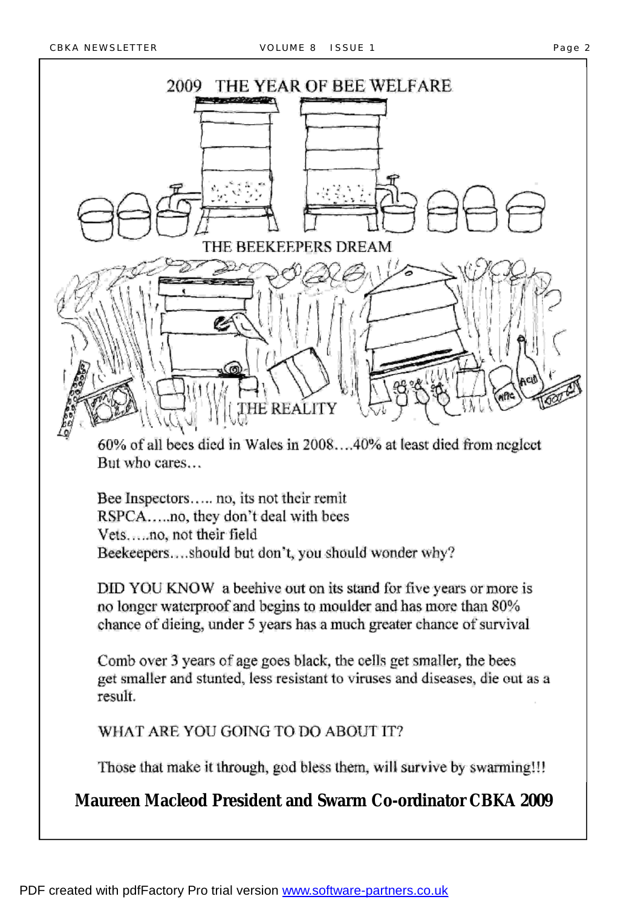

60% of all bees died in Wales in 2008...40% at least died from neglect But who cares...

Bee Inspectors..... no, its not their remit RSPCA.....no, they don't deal with bees Vets.....no, not their field Beekeepers....should but don't, you should wonder why?

DID YOU KNOW a beehive out on its stand for five years or more is no longer waterproof and begins to moulder and has more than 80% chance of dieing, under 5 years has a much greater chance of survival

Comb over 3 years of age goes black, the cells get smaller, the bees get smaller and stunted, less resistant to viruses and diseases, die out as a result.

WHAT ARE YOU GOING TO DO ABOUT IT?

Those that make it through, god bless them, will survive by swarming!!!

**Maureen Macleod President and Swarm Co-ordinator CBKA 2009**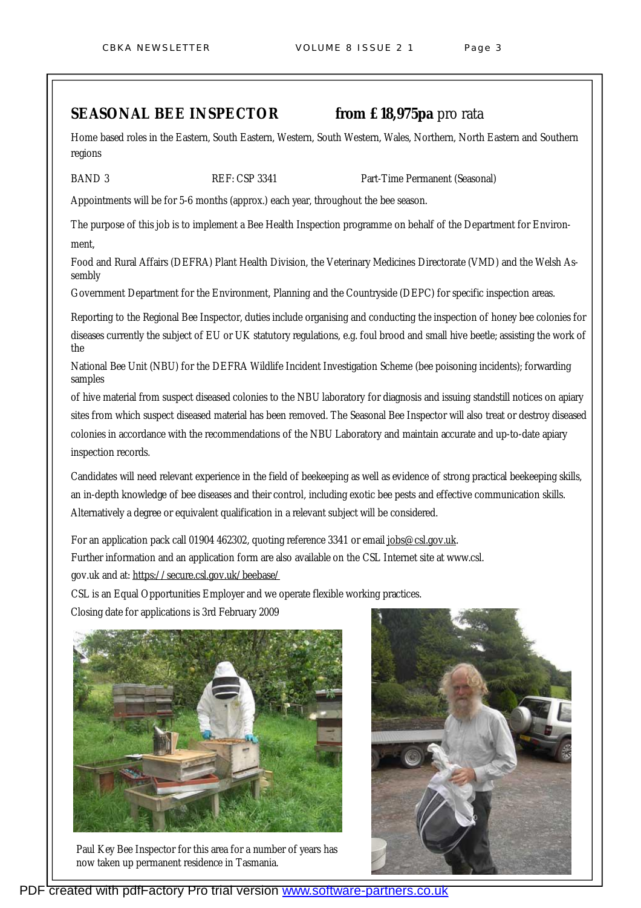### **SEASONAL BEE INSPECTOR from £18,975pa** pro rata

Home based roles in the Eastern, South Eastern, Western, South Western, Wales, Northern, North Eastern and Southern regions

BAND 3 **REF: CSP 3341** Part-Time Permanent (Seasonal)

Appointments will be for 5-6 months (approx.) each year, throughout the bee season.

The purpose of this job is to implement a Bee Health Inspection programme on behalf of the Department for Environment,

Food and Rural Affairs (DEFRA) Plant Health Division, the Veterinary Medicines Directorate (VMD) and the Welsh Assembly

Government Department for the Environment, Planning and the Countryside (DEPC) for specific inspection areas.

Reporting to the Regional Bee Inspector, duties include organising and conducting the inspection of honey bee colonies for diseases currently the subject of EU or UK statutory regulations, e.g. foul brood and small hive beetle; assisting the work of the

National Bee Unit (NBU) for the DEFRA Wildlife Incident Investigation Scheme (bee poisoning incidents); forwarding samples

of hive material from suspect diseased colonies to the NBU laboratory for diagnosis and issuing standstill notices on apiary sites from which suspect diseased material has been removed. The Seasonal Bee Inspector will also treat or destroy diseased colonies in accordance with the recommendations of the NBU Laboratory and maintain accurate and up-to-date apiary inspection records.

Candidates will need relevant experience in the field of beekeeping as well as evidence of strong practical beekeeping skills, an in-depth knowledge of bee diseases and their control, including exotic bee pests and effective communication skills. Alternatively a degree or equivalent qualification in a relevant subject will be considered.

For an application pack call 01904 462302, quoting reference 3341 or email [jobs@csl.gov.uk](mailto:jobs@csl.gov.uk). Further information and an application form are also available on the CSL Internet site at www.csl. gov.uk and at:<https://secure.csl.gov.uk/beebase/>

CSL is an Equal Opportunities Employer and we operate flexible working practices.

Closing date for applications is 3rd February 2009



Paul Key Bee Inspector for this area for a number of years has now taken up permanent residence in Tasmania.

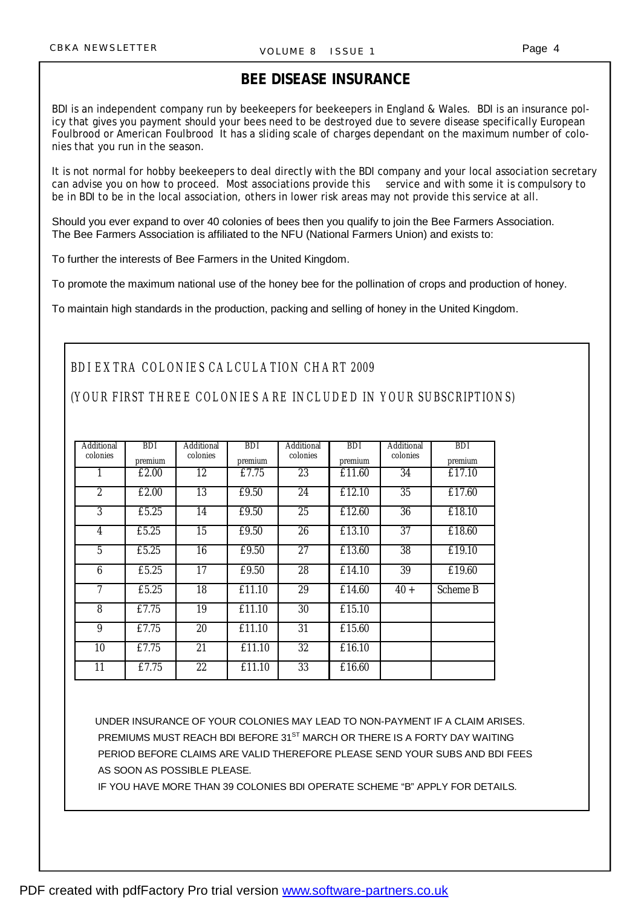## **BEE DISEASE INSURANCE**

BDI is an independent company run by beekeepers for beekeepers in England & Wales. BDI is an insurance policy that gives you payment should your bees need to be destroyed due to severe disease specifically European Foulbrood or American Foulbrood It has a sliding scale of charges dependant on the maximum number of colonies that you run in the season.

It is not normal for hobby beekeepers to deal directly with the BDI company and your local association secretary can advise you on how to proceed. Most associations provide this service and with some it is compulsory to be in BDI to be in the local association, others in lower risk areas may not provide this service at all.

Should you ever expand to over 40 colonies of bees then you qualify to join the Bee Farmers Association. The Bee Farmers Association is affiliated to the NFU (National Farmers Union) and exists to:

To further the interests of Bee Farmers in the United Kingdom.

To promote the maximum national use of the honey bee for the pollination of crops and production of honey.

To maintain high standards in the production, packing and selling of honey in the United Kingdom.

#### *BDI EXTRA COLONIES CALCULATION CHART 2009*

#### *(YOUR FIRST THREE COLONIES ARE INCLUDED IN YOUR SUBSCRIPTIONS)*

| Additional<br>colonies | <b>BDI</b><br>premium | Additional<br>colonies | <b>BDI</b><br>premium | Additional<br>colonies | <b>BDI</b><br>premium | Additional<br>colonies | <b>BDI</b><br>premium |
|------------------------|-----------------------|------------------------|-----------------------|------------------------|-----------------------|------------------------|-----------------------|
| 1                      | £2.00                 | 12                     | £7.75                 | 23                     | £11.60                | 34                     | £17.10                |
| $\overline{2}$         | £2.00                 | 13                     | £9.50                 | 24                     | £12.10                | 35                     | £17.60                |
| 3                      | £5.25                 | 14                     | £9.50                 | 25                     | £12.60                | 36                     | £18.10                |
| 4                      | £5.25                 | $\overline{15}$        | £9.50                 | 26                     | £13.10                | 37                     | £18.60                |
| $5\overline{)}$        | £5.25                 | 16                     | £9.50                 | 27                     | £13.60                | 38                     | £19.10                |
| 6                      | £5.25                 | $\overline{17}$        | £9.50                 | 28                     | £14.10                | $\overline{39}$        | £19.60                |
| 7                      | £5.25                 | $\overline{18}$        | £11.10                | $\overline{29}$        | £14.60                | $40 +$                 | <b>Scheme B</b>       |
| 8                      | £7.75                 | 19                     | £11.10                | 30                     | £15.10                |                        |                       |
| 9                      | £7.75                 | 20                     | £11.10                | 31                     | £15.60                |                        |                       |
| 10                     | £7.75                 | 21                     | £11.10                | $\overline{32}$        | £16.10                |                        |                       |
| $\overline{11}$        | £7.75                 | 22                     | £11.10                | 33                     | £16.60                |                        |                       |

UNDER INSURANCE OF YOUR COLONIES MAY LEAD TO NON-PAYMENT IF A CLAIM ARISES. PREMIUMS MUST REACH BDI BEFORE 31<sup>ST</sup> MARCH OR THERE IS A FORTY DAY WAITING PERIOD BEFORE CLAIMS ARE VALID THEREFORE PLEASE SEND YOUR SUBS AND BDI FEES AS SOON AS POSSIBLE PLEASE.

IF YOU HAVE MORE THAN 39 COLONIES BDI OPERATE SCHEME "B" APPLY FOR DETAILS.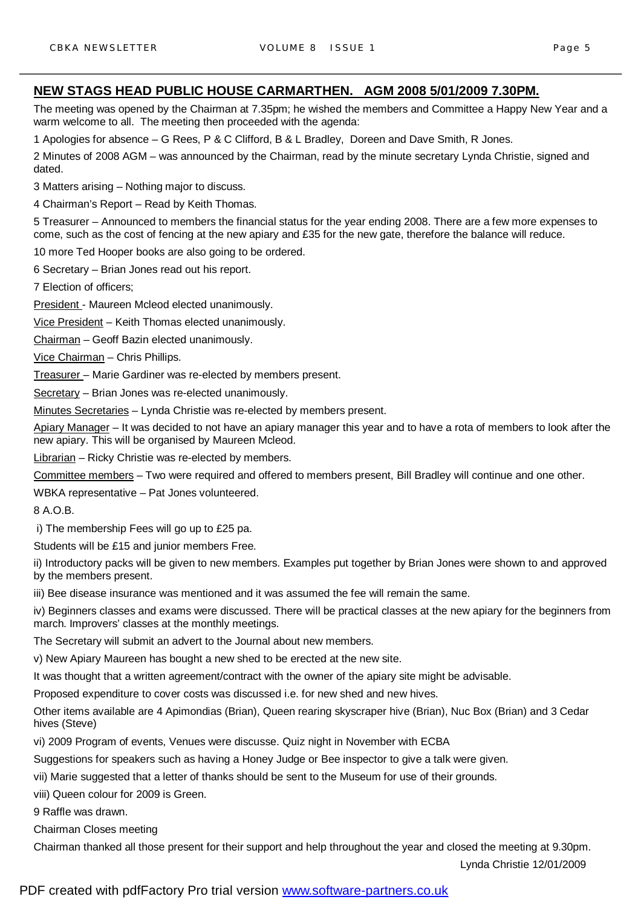#### **NEW STAGS HEAD PUBLIC HOUSE CARMARTHEN. AGM 2008 5/01/2009 7.30PM.**

The meeting was opened by the Chairman at 7.35pm; he wished the members and Committee a Happy New Year and a warm welcome to all. The meeting then proceeded with the agenda:

1 Apologies for absence – G Rees, P & C Clifford, B & L Bradley, Doreen and Dave Smith, R Jones.

2 Minutes of 2008 AGM – was announced by the Chairman, read by the minute secretary Lynda Christie, signed and dated.

3 Matters arising – Nothing major to discuss.

4 Chairman's Report – Read by Keith Thomas.

5 Treasurer – Announced to members the financial status for the year ending 2008. There are a few more expenses to come, such as the cost of fencing at the new apiary and £35 for the new gate, therefore the balance will reduce.

10 more Ted Hooper books are also going to be ordered.

6 Secretary – Brian Jones read out his report.

7 Election of officers;

President - Maureen Mcleod elected unanimously.

Vice President – Keith Thomas elected unanimously.

Chairman – Geoff Bazin elected unanimously.

Vice Chairman – Chris Phillips.

Treasurer – Marie Gardiner was re-elected by members present.

Secretary – Brian Jones was re-elected unanimously.

Minutes Secretaries – Lynda Christie was re-elected by members present.

Apiary Manager – It was decided to not have an apiary manager this year and to have a rota of members to look after the new apiary. This will be organised by Maureen Mcleod.

Librarian - Ricky Christie was re-elected by members.

Committee members – Two were required and offered to members present, Bill Bradley will continue and one other.

WBKA representative – Pat Jones volunteered.

8 A.O.B.

i) The membership Fees will go up to £25 pa.

Students will be £15 and junior members Free.

ii) Introductory packs will be given to new members. Examples put together by Brian Jones were shown to and approved by the members present.

iii) Bee disease insurance was mentioned and it was assumed the fee will remain the same.

iv) Beginners classes and exams were discussed. There will be practical classes at the new apiary for the beginners from march. Improvers' classes at the monthly meetings.

The Secretary will submit an advert to the Journal about new members.

v) New Apiary Maureen has bought a new shed to be erected at the new site.

It was thought that a written agreement/contract with the owner of the apiary site might be advisable.

Proposed expenditure to cover costs was discussed i.e. for new shed and new hives.

Other items available are 4 Apimondias (Brian), Queen rearing skyscraper hive (Brian), Nuc Box (Brian) and 3 Cedar hives (Steve)

vi) 2009 Program of events, Venues were discusse. Quiz night in November with ECBA

Suggestions for speakers such as having a Honey Judge or Bee inspector to give a talk were given.

vii) Marie suggested that a letter of thanks should be sent to the Museum for use of their grounds.

viii) Queen colour for 2009 is Green.

9 Raffle was drawn.

Chairman Closes meeting

Chairman thanked all those present for their support and help throughout the year and closed the meeting at 9.30pm.

Lynda Christie 12/01/2009